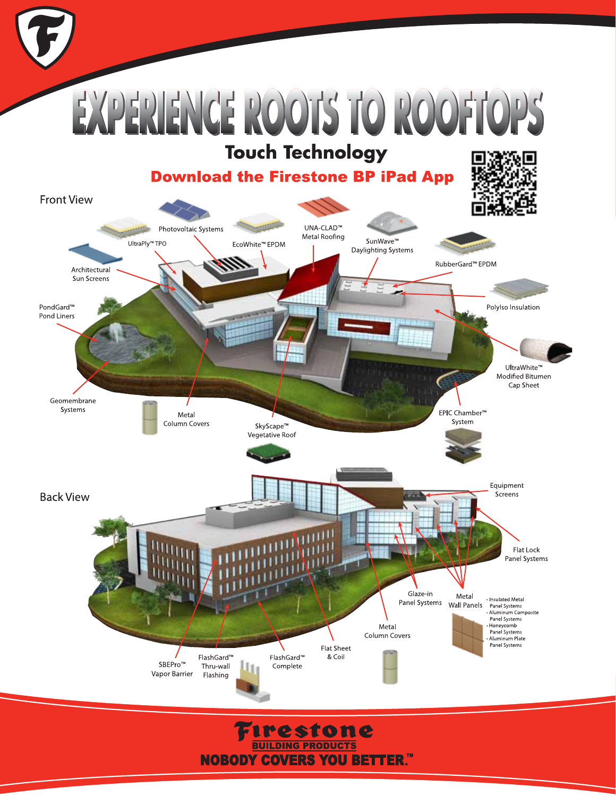